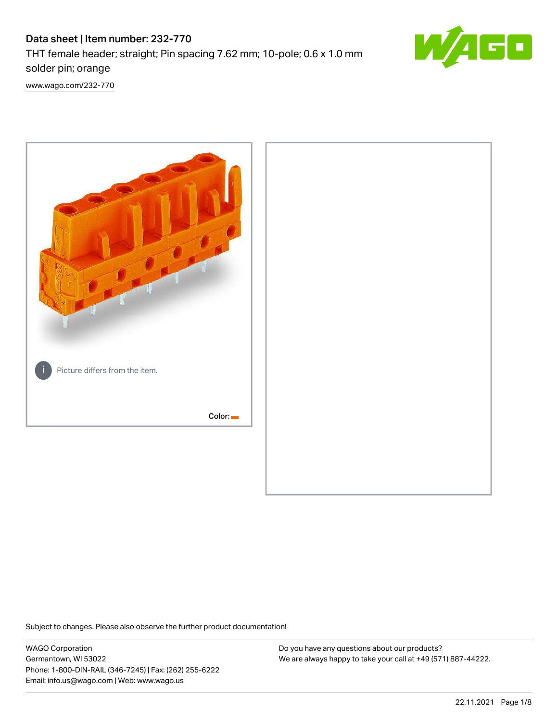# Data sheet | Item number: 232-770 THT female header; straight; Pin spacing 7.62 mm; 10-pole; 0.6 x 1.0 mm solder pin; orange



[www.wago.com/232-770](http://www.wago.com/232-770)



Subject to changes. Please also observe the further product documentation!

WAGO Corporation Germantown, WI 53022 Phone: 1-800-DIN-RAIL (346-7245) | Fax: (262) 255-6222 Email: info.us@wago.com | Web: www.wago.us

Do you have any questions about our products? We are always happy to take your call at +49 (571) 887-44222.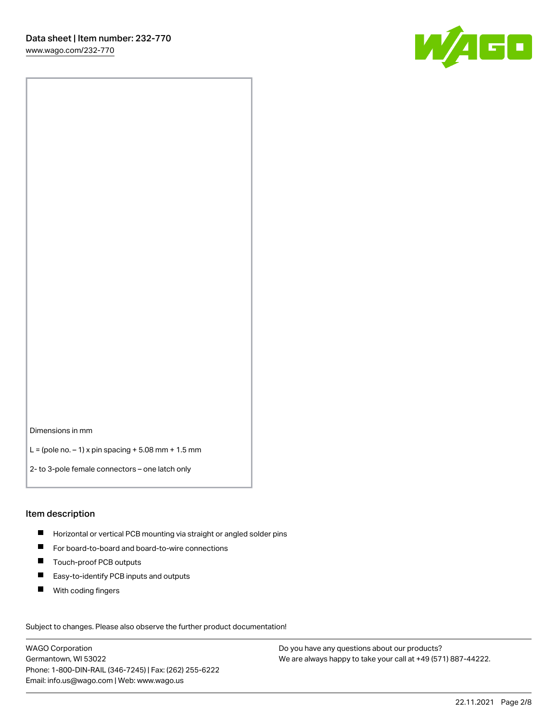

Dimensions in mm

L = (pole no.  $-1$ ) x pin spacing + 5.08 mm + 1.5 mm

2- to 3-pole female connectors – one latch only

#### Item description

- **H** Horizontal or vertical PCB mounting via straight or angled solder pins
- For board-to-board and board-to-wire connections
- Touch-proof PCB outputs  $\blacksquare$
- $\blacksquare$ Easy-to-identify PCB inputs and outputs
- $\blacksquare$ With coding fingers

Subject to changes. Please also observe the further product documentation! Data

WAGO Corporation Germantown, WI 53022 Phone: 1-800-DIN-RAIL (346-7245) | Fax: (262) 255-6222 Email: info.us@wago.com | Web: www.wago.us

Do you have any questions about our products? We are always happy to take your call at +49 (571) 887-44222.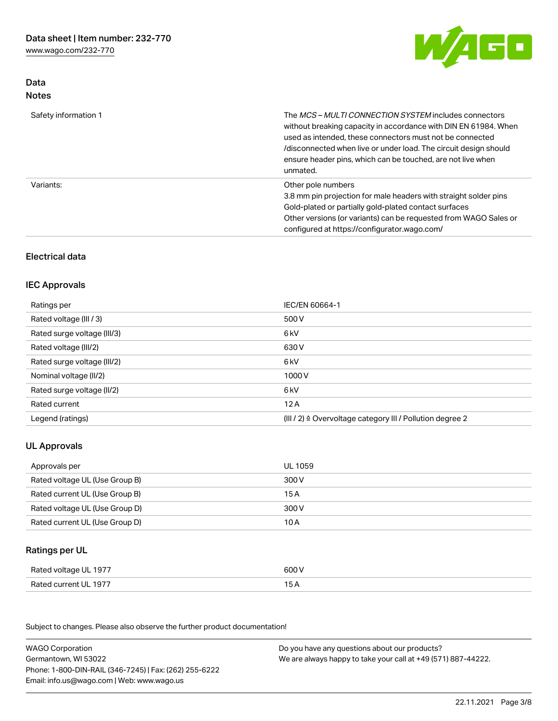

## Data Notes

| Safety information 1 | The <i>MCS – MULTI CONNECTION SYSTEM</i> includes connectors<br>without breaking capacity in accordance with DIN EN 61984. When<br>used as intended, these connectors must not be connected<br>/disconnected when live or under load. The circuit design should<br>ensure header pins, which can be touched, are not live when<br>unmated. |
|----------------------|--------------------------------------------------------------------------------------------------------------------------------------------------------------------------------------------------------------------------------------------------------------------------------------------------------------------------------------------|
| Variants:            | Other pole numbers<br>3.8 mm pin projection for male headers with straight solder pins<br>Gold-plated or partially gold-plated contact surfaces<br>Other versions (or variants) can be requested from WAGO Sales or<br>configured at https://configurator.wago.com/                                                                        |

## Electrical data

#### IEC Approvals

| IEC/EN 60664-1                                                        |
|-----------------------------------------------------------------------|
| 500 V                                                                 |
| 6 <sub>kV</sub>                                                       |
| 630 V                                                                 |
| 6 <sub>kV</sub>                                                       |
| 1000V                                                                 |
| 6 <sub>kV</sub>                                                       |
| 12A                                                                   |
| $(III / 2)$ $\triangle$ Overvoltage category III / Pollution degree 2 |
|                                                                       |

## UL Approvals

| Approvals per                  | UL 1059 |
|--------------------------------|---------|
| Rated voltage UL (Use Group B) | 300 V   |
| Rated current UL (Use Group B) | 15 A    |
| Rated voltage UL (Use Group D) | 300 V   |
| Rated current UL (Use Group D) | 10 A    |

## Ratings per UL

| Rated voltage UL 1977 | 600 V |
|-----------------------|-------|
| Rated current UL 1977 |       |

Subject to changes. Please also observe the further product documentation!

| <b>WAGO Corporation</b>                                | Do you have any questions about our products?                 |
|--------------------------------------------------------|---------------------------------------------------------------|
| Germantown, WI 53022                                   | We are always happy to take your call at +49 (571) 887-44222. |
| Phone: 1-800-DIN-RAIL (346-7245)   Fax: (262) 255-6222 |                                                               |
| Email: info.us@wago.com   Web: www.wago.us             |                                                               |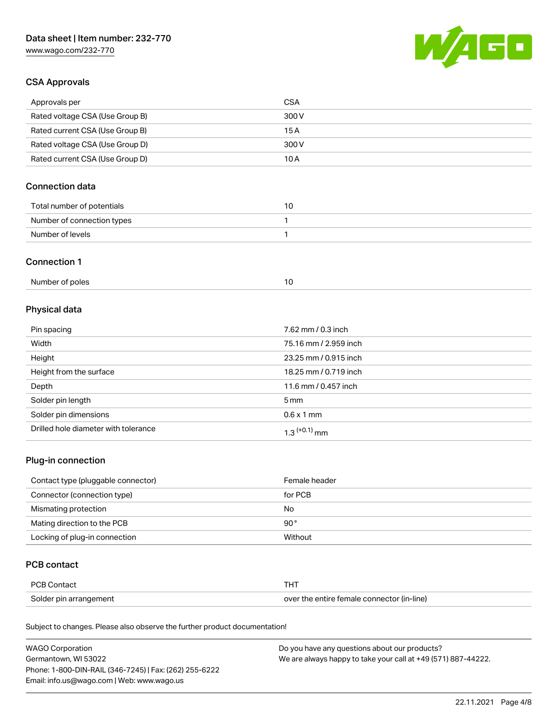

## CSA Approvals

| Approvals per                   | CSA   |
|---------------------------------|-------|
| Rated voltage CSA (Use Group B) | 300 V |
| Rated current CSA (Use Group B) | 15 A  |
| Rated voltage CSA (Use Group D) | 300 V |
| Rated current CSA (Use Group D) | 10 A  |

## Connection data

| Total number of potentials |  |
|----------------------------|--|
| Number of connection types |  |
| Number of levels           |  |

#### Connection 1

| Number of poles |  |
|-----------------|--|
|                 |  |

## Physical data

| Pin spacing                          | 7.62 mm / 0.3 inch    |
|--------------------------------------|-----------------------|
| Width                                | 75.16 mm / 2.959 inch |
| Height                               | 23.25 mm / 0.915 inch |
| Height from the surface              | 18.25 mm / 0.719 inch |
| Depth                                | 11.6 mm / 0.457 inch  |
| Solder pin length                    | 5 mm                  |
| Solder pin dimensions                | $0.6 \times 1$ mm     |
| Drilled hole diameter with tolerance | $1.3$ $(+0.1)$ mm     |

## Plug-in connection

| Contact type (pluggable connector) | Female header |
|------------------------------------|---------------|
| Connector (connection type)        | for PCB       |
| Mismating protection               | No            |
| Mating direction to the PCB        | $90^{\circ}$  |
| Locking of plug-in connection      | Without       |

### PCB contact

| PCB Contact            | THT                                        |
|------------------------|--------------------------------------------|
| Solder pin arrangement | over the entire female connector (in-line) |

Subject to changes. Please also observe the further product documentation!

| <b>WAGO Corporation</b>                                | Do you have any questions about our products?                 |
|--------------------------------------------------------|---------------------------------------------------------------|
| Germantown, WI 53022                                   | We are always happy to take your call at +49 (571) 887-44222. |
| Phone: 1-800-DIN-RAIL (346-7245)   Fax: (262) 255-6222 |                                                               |
| Email: info.us@wago.com   Web: www.wago.us             |                                                               |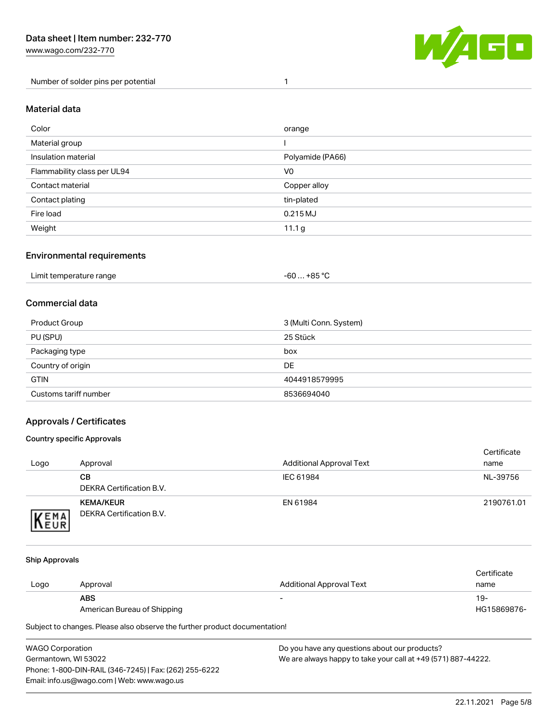Number of solder pins per potential 1



#### Material data

| Color                       | orange           |
|-----------------------------|------------------|
| Material group              |                  |
| Insulation material         | Polyamide (PA66) |
| Flammability class per UL94 | V <sub>0</sub>   |
| Contact material            | Copper alloy     |
| Contact plating             | tin-plated       |
| Fire load                   | 0.215 MJ         |
| Weight                      | 11.1 g           |

#### Environmental requirements

| Limit temperature range<br>. | +85 °C<br>-60 |  |
|------------------------------|---------------|--|
|------------------------------|---------------|--|

## Commercial data

| Product Group         | 3 (Multi Conn. System) |
|-----------------------|------------------------|
| PU (SPU)              | 25 Stück               |
| Packaging type        | box                    |
| Country of origin     | DE                     |
| <b>GTIN</b>           | 4044918579995          |
| Customs tariff number | 8536694040             |

## Approvals / Certificates

#### Country specific Approvals

| Logo                | Approval                                            | <b>Additional Approval Text</b> | Certificate<br>name |
|---------------------|-----------------------------------------------------|---------------------------------|---------------------|
|                     | CВ<br>DEKRA Certification B.V.                      | IEC 61984                       | NL-39756            |
| EMA<br><b>INEUR</b> | <b>KEMA/KEUR</b><br><b>DEKRA Certification B.V.</b> | EN 61984                        | 2190761.01          |

#### Ship Approvals

| Logo | Approval                    | Additional Approval Text | Certificate<br>name |
|------|-----------------------------|--------------------------|---------------------|
|      | <b>ABS</b>                  | -                        | 19-                 |
|      | American Bureau of Shipping |                          | HG15869876-         |

Subject to changes. Please also observe the further product documentation!

WAGO Corporation Germantown, WI 53022 Phone: 1-800-DIN-RAIL (346-7245) | Fax: (262) 255-6222 Email: info.us@wago.com | Web: www.wago.us Do you have any questions about our products? We are always happy to take your call at +49 (571) 887-44222.

22.11.2021 Page 5/8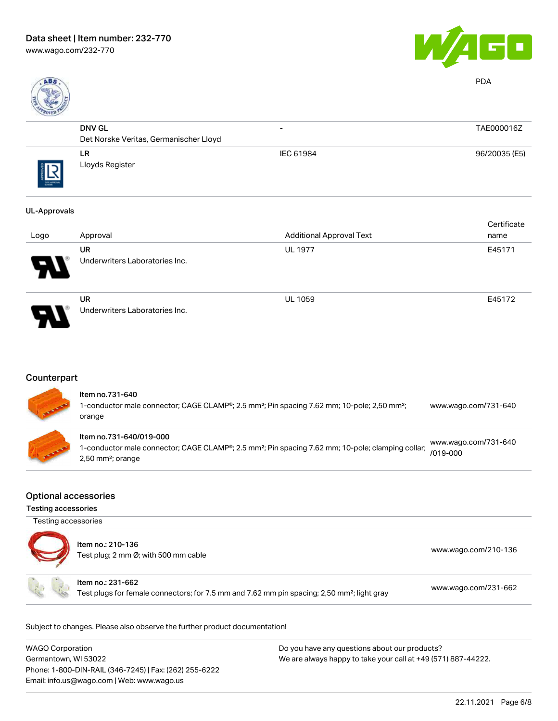

PDA

| ROALD      |                                        |                          |               |
|------------|----------------------------------------|--------------------------|---------------|
|            | <b>DNV GL</b>                          | $\overline{\phantom{0}}$ | TAE000016Z    |
|            | Det Norske Veritas, Germanischer Lloyd |                          |               |
| THE APROVA | <b>LR</b><br>Lloyds Register           | IEC 61984                | 96/20035 (E5) |
|            |                                        |                          |               |

#### UL-Approvals

|                          |                                             |                                 | Certificate |
|--------------------------|---------------------------------------------|---------------------------------|-------------|
| Logo                     | Approval                                    | <b>Additional Approval Text</b> | name        |
| Ъ.                       | <b>UR</b><br>Underwriters Laboratories Inc. | <b>UL 1977</b>                  | E45171      |
| $\overline{\phantom{0}}$ | UR<br>Underwriters Laboratories Inc.        | <b>UL 1059</b>                  | E45172      |

## **Counterpart**

| <b>All Careford</b> | Item no.731-640<br>1-conductor male connector; CAGE CLAMP®; 2.5 mm <sup>2</sup> ; Pin spacing 7.62 mm; 10-pole; 2,50 mm <sup>2</sup> ;<br>orange                            | www.wago.com/731-640                 |
|---------------------|-----------------------------------------------------------------------------------------------------------------------------------------------------------------------------|--------------------------------------|
| <b>CONSULTANT</b>   | Item no.731-640/019-000<br>1-conductor male connector; CAGE CLAMP®; 2.5 mm <sup>2</sup> ; Pin spacing 7.62 mm; 10-pole; clamping collar;<br>$2,50$ mm <sup>2</sup> ; orange | www.wago.com/731-640<br>$/019 - 000$ |

#### Optional accessories

Testing accessories

Testing accessories

| Item no.: 210-136<br>Test plug; 2 mm Ø; with 500 mm cable                                                                    | www.wago.com/210-136 |
|------------------------------------------------------------------------------------------------------------------------------|----------------------|
| Item no.: 231-662<br>Test plugs for female connectors; for 7.5 mm and 7.62 mm pin spacing; 2,50 mm <sup>2</sup> ; light gray | www.wago.com/231-662 |

Subject to changes. Please also observe the further product documentation!

| <b>WAGO Corporation</b>                                | Do you have any questions about our products?                 |
|--------------------------------------------------------|---------------------------------------------------------------|
| Germantown, WI 53022                                   | We are always happy to take your call at +49 (571) 887-44222. |
| Phone: 1-800-DIN-RAIL (346-7245)   Fax: (262) 255-6222 |                                                               |
| Email: info.us@wago.com   Web: www.wago.us             |                                                               |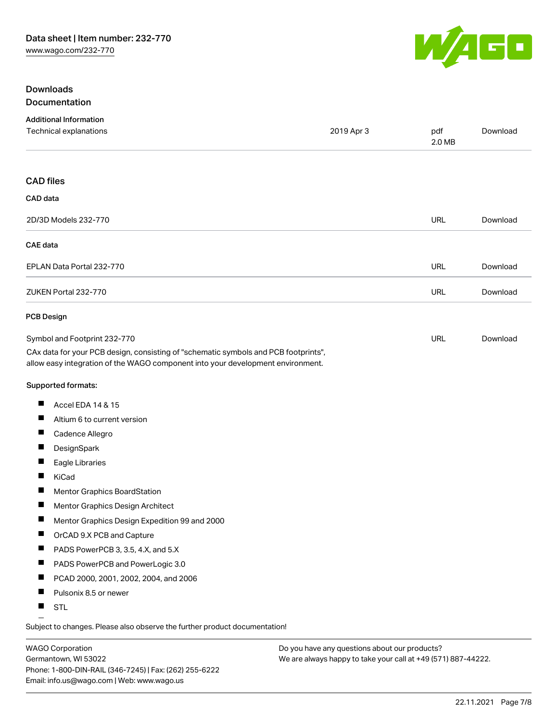

#### **Downloads Documentation**

| <b>Additional Information</b>                                                                                                                                          |            |               |          |
|------------------------------------------------------------------------------------------------------------------------------------------------------------------------|------------|---------------|----------|
| Technical explanations                                                                                                                                                 | 2019 Apr 3 | pdf<br>2.0 MB | Download |
| <b>CAD files</b>                                                                                                                                                       |            |               |          |
| CAD data                                                                                                                                                               |            |               |          |
| 2D/3D Models 232-770                                                                                                                                                   |            | <b>URL</b>    | Download |
| <b>CAE</b> data                                                                                                                                                        |            |               |          |
| EPLAN Data Portal 232-770                                                                                                                                              |            | URL           | Download |
| ZUKEN Portal 232-770                                                                                                                                                   |            | URL           | Download |
| <b>PCB Design</b>                                                                                                                                                      |            |               |          |
| Symbol and Footprint 232-770                                                                                                                                           |            | URL           | Download |
| CAx data for your PCB design, consisting of "schematic symbols and PCB footprints",<br>allow easy integration of the WAGO component into your development environment. |            |               |          |
| Supported formats:                                                                                                                                                     |            |               |          |
| ш<br>Accel EDA 14 & 15                                                                                                                                                 |            |               |          |
| ш<br>Altium 6 to current version                                                                                                                                       |            |               |          |
| Cadence Allegro                                                                                                                                                        |            |               |          |
| Ш<br>DesignSpark                                                                                                                                                       |            |               |          |
| ш<br>Eagle Libraries                                                                                                                                                   |            |               |          |
| П<br>KiCad                                                                                                                                                             |            |               |          |
| Mentor Graphics BoardStation                                                                                                                                           |            |               |          |
| ш<br>Mentor Graphics Design Architect                                                                                                                                  |            |               |          |
| Ш<br>Mentor Graphics Design Expedition 99 and 2000                                                                                                                     |            |               |          |
| ш<br>OrCAD 9.X PCB and Capture                                                                                                                                         |            |               |          |
| ш<br>PADS PowerPCB 3, 3.5, 4.X, and 5.X                                                                                                                                |            |               |          |
| Ш<br>PADS PowerPCB and PowerLogic 3.0                                                                                                                                  |            |               |          |
| PCAD 2000, 2001, 2002, 2004, and 2006                                                                                                                                  |            |               |          |
| ш<br>Pulsonix 8.5 or newer                                                                                                                                             |            |               |          |
| ш<br><b>STL</b>                                                                                                                                                        |            |               |          |

Subject to changes. Please also observe the further product documentation!

WAGO Corporation Germantown, WI 53022 Phone: 1-800-DIN-RAIL (346-7245) | Fax: (262) 255-6222 Email: info.us@wago.com | Web: www.wago.us

Do you have any questions about our products? We are always happy to take your call at +49 (571) 887-44222.